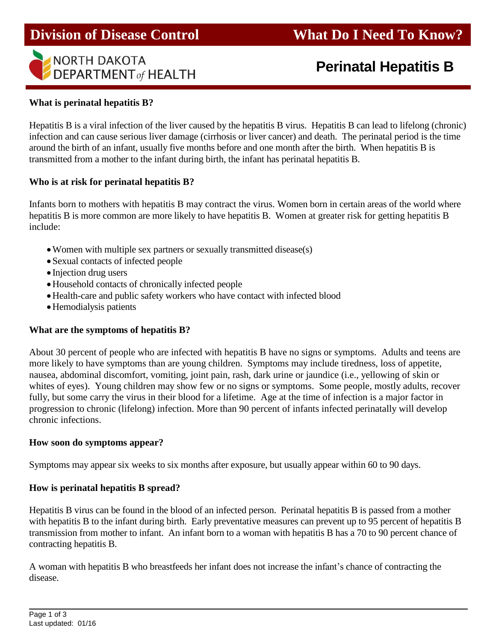

# **Perinatal Hepatitis B**

#### **What is perinatal hepatitis B?**

Hepatitis B is a viral infection of the liver caused by the hepatitis B virus. Hepatitis B can lead to lifelong (chronic) infection and can cause serious liver damage (cirrhosis or liver cancer) and death. The perinatal period is the time around the birth of an infant, usually five months before and one month after the birth. When hepatitis B is transmitted from a mother to the infant during birth, the infant has perinatal hepatitis B.

#### **Who is at risk for perinatal hepatitis B?**

Infants born to mothers with hepatitis B may contract the virus. Women born in certain areas of the world where hepatitis B is more common are more likely to have hepatitis B. Women at greater risk for getting hepatitis B include:

- Women with multiple sex partners or sexually transmitted disease(s)
- Sexual contacts of infected people
- Injection drug users
- Household contacts of chronically infected people
- Health-care and public safety workers who have contact with infected blood
- Hemodialysis patients

### **What are the symptoms of hepatitis B?**

About 30 percent of people who are infected with hepatitis B have no signs or symptoms. Adults and teens are more likely to have symptoms than are young children. Symptoms may include tiredness, loss of appetite, nausea, abdominal discomfort, vomiting, joint pain, rash, dark urine or jaundice (i.e., yellowing of skin or whites of eyes). Young children may show few or no signs or symptoms. Some people, mostly adults, recover fully, but some carry the virus in their blood for a lifetime. Age at the time of infection is a major factor in progression to chronic (lifelong) infection. More than 90 percent of infants infected perinatally will develop chronic infections.

#### **How soon do symptoms appear?**

Symptoms may appear six weeks to six months after exposure, but usually appear within 60 to 90 days.

#### **How is perinatal hepatitis B spread?**

Hepatitis B virus can be found in the blood of an infected person. Perinatal hepatitis B is passed from a mother with hepatitis B to the infant during birth. Early preventative measures can prevent up to 95 percent of hepatitis B transmission from mother to infant. An infant born to a woman with hepatitis B has a 70 to 90 percent chance of contracting hepatitis B.

A woman with hepatitis B who breastfeeds her infant does not increase the infant's chance of contracting the disease.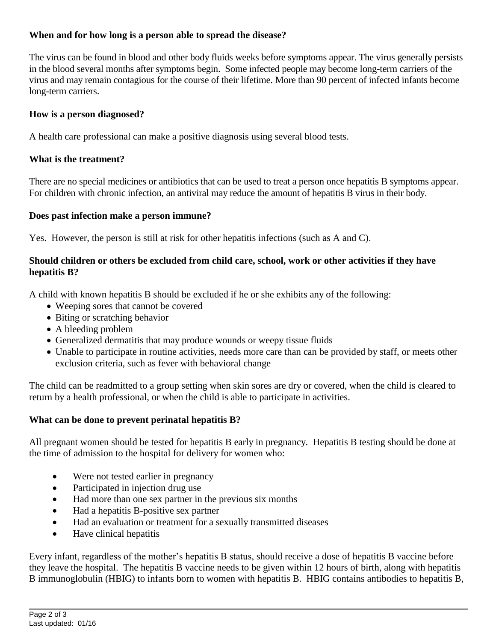# **When and for how long is a person able to spread the disease?**

The virus can be found in blood and other body fluids weeks before symptoms appear. The virus generally persists in the blood several months after symptoms begin. Some infected people may become long-term carriers of the virus and may remain contagious for the course of their lifetime. More than 90 percent of infected infants become long-term carriers.

## **How is a person diagnosed?**

A health care professional can make a positive diagnosis using several blood tests.

## **What is the treatment?**

There are no special medicines or antibiotics that can be used to treat a person once hepatitis B symptoms appear. For children with chronic infection, an antiviral may reduce the amount of hepatitis B virus in their body.

### **Does past infection make a person immune?**

Yes. However, the person is still at risk for other hepatitis infections (such as A and C).

## **Should children or others be excluded from child care, school, work or other activities if they have hepatitis B?**

A child with known hepatitis B should be excluded if he or she exhibits any of the following:

- Weeping sores that cannot be covered
- Biting or scratching behavior
- A bleeding problem
- Generalized dermatitis that may produce wounds or weepy tissue fluids
- Unable to participate in routine activities, needs more care than can be provided by staff, or meets other exclusion criteria, such as fever with behavioral change

The child can be readmitted to a group setting when skin sores are dry or covered, when the child is cleared to return by a health professional, or when the child is able to participate in activities.

# **What can be done to prevent perinatal hepatitis B?**

All pregnant women should be tested for hepatitis B early in pregnancy. Hepatitis B testing should be done at the time of admission to the hospital for delivery for women who:

- Were not tested earlier in pregnancy
- Participated in injection drug use
- Had more than one sex partner in the previous six months
- Had a hepatitis B-positive sex partner
- Had an evaluation or treatment for a sexually transmitted diseases
- Have clinical hepatitis

Every infant, regardless of the mother's hepatitis B status, should receive a dose of hepatitis B vaccine before they leave the hospital. The hepatitis B vaccine needs to be given within 12 hours of birth, along with hepatitis B immunoglobulin (HBIG) to infants born to women with hepatitis B. HBIG contains antibodies to hepatitis B,